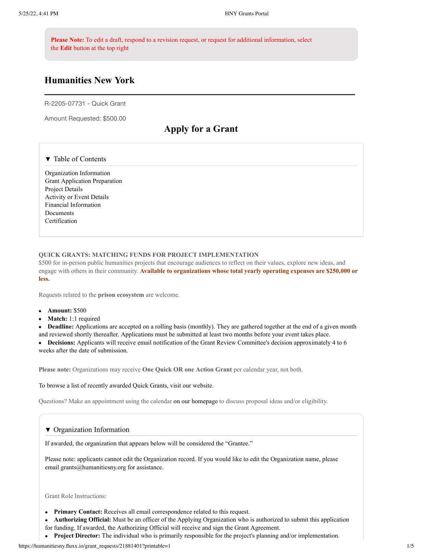**Please Note:** To edit a draft, respond to a revision request, or request for additional information, select the **Edit** button at the top right

# **Humanities New York**

R-2205-07731 - Quick Grant

Amount Requested: \$500.00

# **Apply for a Grant**

#### ▼ Table of Contents

Organization Information Grant Application Preparation Project Details Activity or Event Details Financial Information Documents Certification

#### **QUICK GRANTS: MATCHING FUNDS FOR PROJECT IMPLEMENTATION**

\$500 for in-person public humanities projects that encourage audiences to reflect on their values, explore new ideas, and engage with others in their community. **Available to organizations whose total yearly operating expenses are \$250,000 or less.**

Requests related to the **prison ecosystem** are welcome.

- **Amount:** \$500
- **Match:** 1:1 required

**Deadline:** Applications are accepted on a rolling basis (monthly). They are gathered together at the end of a given month and reviewed shortly thereafter. Applications must be submitted at least two months before your event takes place.

**Decisions:** Applicants will receive email notification of the Grant Review Committee's decision approximately 4 to 6 weeks after the date of submission.

**Please note:** Organizations may receive **One Quick OR one Action Grant** per calendar year, not both.

To browse a list of recently awarded Quick Grants, visit our website.

Questions? Make an appointment using the calendar on our homepage to discuss proposal ideas and/or eligibility.

#### ▼ Organization Information

If awarded, the organization that appears below will be considered the "Grantee."

Please note: applicants cannot edit the Organization record. If you would like to edit the Organization name, please email grants@humanitiesny.org for assistance.

Grant Role Instructions:

- **Primary Contact:** Receives all email correspondence related to this request.
- **Authorizing Official:** Must be an officer of the Applying Organization who is authorized to submit this application
- for funding. If awarded, the Authorizing Official will receive and sign the Grant Agreement.
- **Project Director:** The individual who is primarily responsible for the project's planning and/or implementation.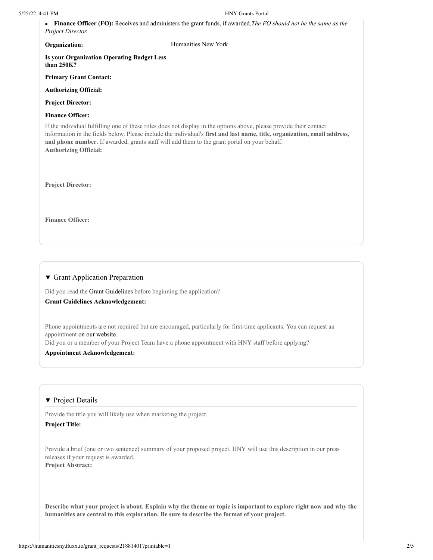**Finance Officer (FO):** Receives and administers the grant funds, if awarded.*The FO should not be the same as the Project Director.*

**Organization:** Humanities New York

**Is your Organization Operating Budget Less than 250K?**

**Primary Grant Contact:**

**Authorizing Official:**

**Project Director:**

**Finance Officer:**

If the individual fulfilling one of these roles does not display in the options above, please provide their contact information in the fields below. Please include the individual's **first and last name, title, organization, email address, and phone number**. If awarded, grants staff will add them to the grant portal on your behalf. **Authorizing Official:**

**Project Director:**

**Finance Officer:**

#### ▼ Grant Application Preparation

Did you read the Grant Guidelines before beginning the application?

#### **Grant Guidelines Acknowledgement:**

Phone appointments are not required but are encouraged, particularly for first-time applicants. You can request an appointment on our website.

Did you or a member of your Project Team have a phone appointment with HNY staff before applying?

#### **Appointment Acknowledgement:**

#### ▼ Project Details

Provide the title you will likely use when marketing the project.

### **Project Title:**

Provide a brief (one or two sentence) summary of your proposed project. HNY will use this description in our press releases if your request is awarded. **Project Abstract:**

**Describe what your project is about. Explain why the theme or topic is important to explore right now and why the humanities are central to this exploration. Be sure to describe the format of your project.**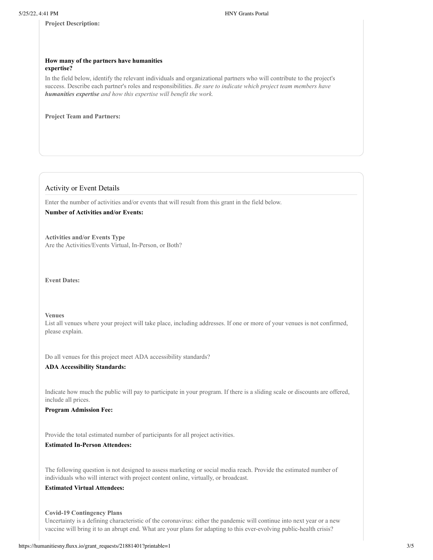**Project Description:**

#### **How many of the partners have humanities expertise?**

In the field below, identify the relevant individuals and organizational partners who will contribute to the project's success. Describe each partner's roles and responsibilities. *Be sure to indicate which project team members have humanities expertise and how this expertise will benefit the work.*

**Project Team and Partners:**

# Activity or Event Details

Enter the number of activities and/or events that will result from this grant in the field below.

# **Number of Activities and/or Events:**

**Activities and/or Events Type** Are the Activities/Events Virtual, In-Person, or Both?

**Event Dates:**

#### **Venues**

List all venues where your project will take place, including addresses. If one or more of your venues is not confirmed, please explain.

Do all venues for this project meet ADA accessibility standards?

#### **ADA Accessibility Standards:**

Indicate how much the public will pay to participate in your program. If there is a sliding scale or discounts are offered, include all prices.

**Program Admission Fee:**

Provide the total estimated number of participants for all project activities.

# **Estimated In-Person Attendees:**

The following question is not designed to assess marketing or social media reach. Provide the estimated number of individuals who will interact with project content online, virtually, or broadcast.

## **Estimated Virtual Attendees:**

**Covid-19 Contingency Plans**

Uncertainty is a defining characteristic of the coronavirus: either the pandemic will continue into next year or a new vaccine will bring it to an abrupt end. What are your plans for adapting to this ever-evolving public-health crisis?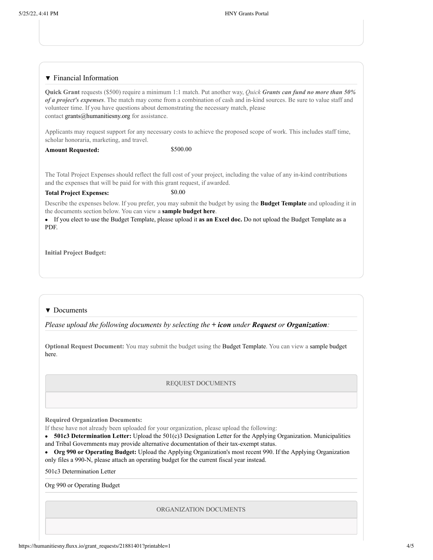#### ▼ Financial Information

**Quick Grant** requests (\$500) require a minimum 1:1 match. Put another way, *Quick Grants can fund no more than 50% of a project's expenses*. The match may come from a combination of cash and in-kind sources. Be sure to value staff and volunteer time. If you have questions about demonstrating the necessary match, please contact grants@humanitiesny.org for assistance.

Applicants may request support for any necessary costs to achieve the proposed scope of work. This includes staff time, scholar honoraria, marketing, and travel.

## Amount Requested: \$500.00

The Total Project Expenses should reflect the full cost of your project, including the value of any in-kind contributions and the expenses that will be paid for with this grant request, if awarded.

#### **Total Project Expenses:** \$0.00

Describe the expenses below. If you prefer, you may submit the budget by using the **Budget Template** and uploading it in the documents section below. You can view a **sample budget here**.

If you elect to use the Budget Template, please upload it **as an Excel doc.** Do not upload the Budget Template as a PDF.

**Initial Project Budget:**

#### ▼ Documents

*Please upload the following documents by selecting the + icon under Request or Organization:*

**Optional Request Document:** You may submit the budget using the Budget Template. You can view a sample budget here.

#### REQUEST DOCUMENTS

**Required Organization Documents:**

If these have not already been uploaded for your organization, please upload the following:

**501c3 Determination Letter:** Upload the 501(c)3 Designation Letter for the Applying Organization. Municipalities and Tribal Governments may provide alternative documentation of their tax-exempt status.

**Org 990 or Operating Budget:** Upload the Applying Organization's most recent 990. If the Applying Organization only files a 990-N, please attach an operating budget for the current fiscal year instead.

501c3 Determination Letter

Org 990 or Operating Budget

ORGANIZATION DOCUMENTS